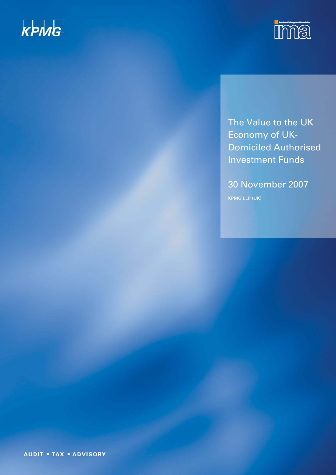



The Value to the UK Economy of UK-Domiciled Authorised Investment Funds

30 November 2007 KPMG LLP (UK)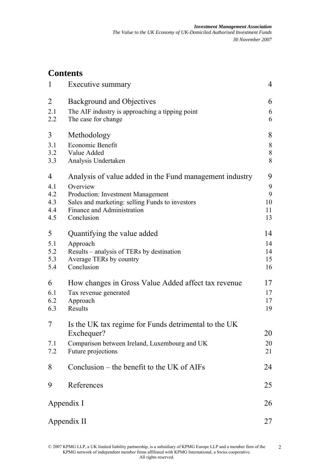# **Contents**

| 1                                    | Executive summary                                                                                                                                                                                              | $\overline{4}$                |
|--------------------------------------|----------------------------------------------------------------------------------------------------------------------------------------------------------------------------------------------------------------|-------------------------------|
| $\overline{2}$<br>2.1<br>2.2         | <b>Background and Objectives</b><br>The AIF industry is approaching a tipping point<br>The case for change                                                                                                     | 6<br>6<br>6                   |
| 3<br>3.1<br>3.2<br>3.3               | Methodology<br>Economic Benefit<br>Value Added<br>Analysis Undertaken                                                                                                                                          | 8<br>8<br>$8\,$<br>8          |
| 4<br>4.1<br>4.2<br>4.3<br>4.4<br>4.5 | Analysis of value added in the Fund management industry<br>Overview<br><b>Production: Investment Management</b><br>Sales and marketing: selling Funds to investors<br>Finance and Administration<br>Conclusion | 9<br>9<br>9<br>10<br>11<br>13 |
| 5<br>5.1<br>5.2<br>5.3<br>5.4        | Quantifying the value added<br>Approach<br>Results – analysis of TERs by destination<br>Average TERs by country<br>Conclusion                                                                                  | 14<br>14<br>14<br>15<br>16    |
| 6<br>6.1<br>6.2<br>6.3               | How changes in Gross Value Added affect tax revenue<br>Tax revenue generated<br>Approach<br>Results                                                                                                            | 17<br>17<br>17<br>19          |
| 7<br>7.1<br>7.2                      | Is the UK tax regime for Funds detrimental to the UK<br>Exchequer?<br>Comparison between Ireland, Luxembourg and UK<br>Future projections                                                                      | 20<br>20<br>21                |
| 8                                    | Conclusion – the benefit to the UK of $AIFs$                                                                                                                                                                   | 24                            |
| 9                                    | References                                                                                                                                                                                                     | 25                            |
|                                      | Appendix I                                                                                                                                                                                                     | 26                            |
|                                      | Appendix II                                                                                                                                                                                                    | 27                            |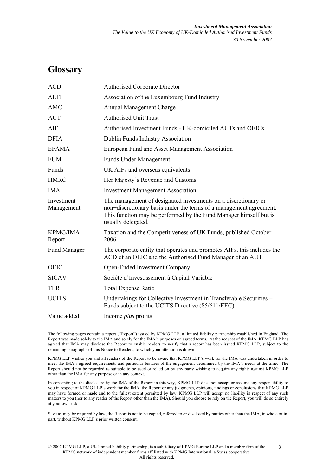## **Glossary**

| <b>ACD</b>                | <b>Authorised Corporate Director</b>                                                                                                                                                                                            |
|---------------------------|---------------------------------------------------------------------------------------------------------------------------------------------------------------------------------------------------------------------------------|
| <b>ALFI</b>               | Association of the Luxembourg Fund Industry                                                                                                                                                                                     |
| <b>AMC</b>                | Annual Management Charge                                                                                                                                                                                                        |
| <b>AUT</b>                | <b>Authorised Unit Trust</b>                                                                                                                                                                                                    |
| AIF                       | Authorised Investment Funds - UK-domiciled AUTs and OEICs                                                                                                                                                                       |
| <b>DFIA</b>               | Dublin Funds Industry Association                                                                                                                                                                                               |
| <b>EFAMA</b>              | European Fund and Asset Management Association                                                                                                                                                                                  |
| <b>FUM</b>                | <b>Funds Under Management</b>                                                                                                                                                                                                   |
| Funds                     | UK AIFs and overseas equivalents                                                                                                                                                                                                |
| <b>HMRC</b>               | Her Majesty's Revenue and Customs                                                                                                                                                                                               |
| <b>IMA</b>                | <b>Investment Management Association</b>                                                                                                                                                                                        |
| Investment<br>Management  | The management of designated investments on a discretionary or<br>non-discretionary basis under the terms of a management agreement.<br>This function may be performed by the Fund Manager himself but is<br>usually delegated. |
| <b>KPMG/IMA</b><br>Report | Taxation and the Competitiveness of UK Funds, published October<br>2006.                                                                                                                                                        |
| <b>Fund Manager</b>       | The corporate entity that operates and promotes AIFs, this includes the<br>ACD of an OEIC and the Authorised Fund Manager of an AUT.                                                                                            |
| <b>OEIC</b>               | Open-Ended Investment Company                                                                                                                                                                                                   |
| <b>SICAV</b>              | Société d'Investissement à Capital Variable                                                                                                                                                                                     |
| <b>TER</b>                | <b>Total Expense Ratio</b>                                                                                                                                                                                                      |
| <b>UCITS</b>              | Undertakings for Collective Investment in Transferable Securities -<br>Funds subject to the UCITS Directive (85/611/EEC)                                                                                                        |
| Value added               | Income <i>plus</i> profits                                                                                                                                                                                                      |

The following pages contain a report ("Report") issued by KPMG LLP, a limited liability partnership established in England. The Report was made solely to the IMA and solely for the IMA's purposes on agreed terms. At the request of the IMA, KPMG LLP has agreed that IMA may disclose the Report to enable readers to verify that a report has been issued KPMG LLP, subject to the remaining paragraphs of this Notice to Readers, to which your attention is drawn.

KPMG LLP wishes you and all readers of the Report to be aware that KPMG LLP's work for the IMA was undertaken in order to meet the IMA's agreed requirements and particular features of the engagement determined by the IMA's needs at the time. The Report should not be regarded as suitable to be used or relied on by any party wishing to acquire any rights against KPMG LLP other than the IMA for any purpose or in any context.

In consenting to the disclosure by the IMA of the Report in this way, KPMG LLP does not accept or assume any responsibility to you in respect of KPMG LLP's work for the IMA, the Report or any judgments, opinions, findings or conclusions that KPMG LLP may have formed or made and to the fullest extent permitted by law, KPMG LLP will accept no liability in respect of any such matters to you (nor to any reader of the Report other than the IMA). Should you choose to rely on the Report, you will do so entirely at your own risk.

Save as may be required by law, the Report is not to be copied, referred to or disclosed by parties other than the IMA, in whole or in part, without KPMG LLP's prior written consent.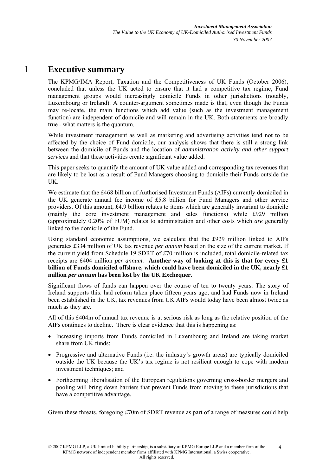## 1 **Executive summary**

The KPMG/IMA Report, Taxation and the Competitiveness of UK Funds (October 2006), concluded that unless the UK acted to ensure that it had a competitive tax regime, Fund management groups would increasingly domicile Funds in other jurisdictions (notably, Luxembourg or Ireland). A counter-argument sometimes made is that, even though the Funds may re-locate, the main functions which add value (such as the investment management function) are independent of domicile and will remain in the UK. Both statements are broadly true - what matters is the quantum.

While investment management as well as marketing and advertising activities tend not to be affected by the choice of Fund domicile, our analysis shows that there is still a strong link between the domicile of Funds and the location of *administration activity and other support service*s and that these activities create significant value added.

This paper seeks to quantify the amount of UK value added and corresponding tax revenues that are likely to be lost as a result of Fund Managers choosing to domicile their Funds outside the UK.

We estimate that the £468 billion of Authorised Investment Funds (AIFs) currently domiciled in the UK generate annual fee income of £5.8 billion for Fund Managers and other service providers. Of this amount, £4.9 billion relates to items which are generally invariant to domicile (mainly the core investment management and sales functions) while £929 million (approximately 0.20% of FUM) relates to administration and other costs which *are* generally linked to the domicile of the Fund.

Using standard economic assumptions, we calculate that the £929 million linked to AIFs generates £334 million of UK tax revenue *per annum* based on the size of the current market*.* If the current yield from Schedule 19 SDRT of £70 million is included, total domicile-related tax receipts are £404 million *per annum*. **Another way of looking at this is that for every £1 billion of Funds domiciled offshore, which could have been domiciled in the UK, nearly £1 million** *per annum* **has been lost by the UK Exchequer.**

Significant flows of funds can happen over the course of ten to twenty years. The story of Ireland supports this: had reform taken place fifteen years ago, and had Funds now in Ireland been established in the UK, tax revenues from UK AIFs would today have been almost twice as much as they are.

All of this £404m of annual tax revenue is at serious risk as long as the relative position of the AIFs continues to decline. There is clear evidence that this is happening as:

- Increasing imports from Funds domiciled in Luxembourg and Ireland are taking market share from UK funds:
- Progressive and alternative Funds (i.e. the industry's growth areas) are typically domiciled outside the UK because the UK's tax regime is not resilient enough to cope with modern investment techniques; and
- Forthcoming liberalisation of the European regulations governing cross-border mergers and pooling will bring down barriers that prevent Funds from moving to these jurisdictions that have a competitive advantage.

Given these threats, foregoing £70m of SDRT revenue as part of a range of measures could help

<sup>© 2007</sup> KPMG LLP, a UK limited liability partnership, is a subsidiary of KPMG Europe LLP and a member firm of the KPMG network of independent member firms affiliated with KPMG International, a Swiss cooperative. All rights reserved. 4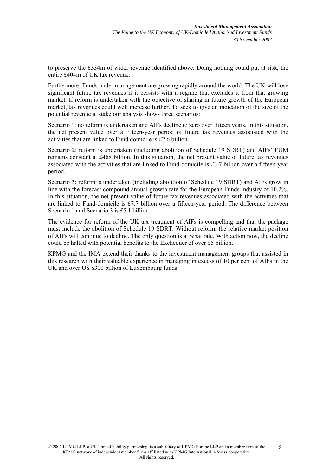to preserve the £334m of wider revenue identified above. Doing nothing could put at risk, the entire £404m of UK tax revenue.

Furthermore, Funds under management are growing rapidly around the world. The UK will lose significant future tax revenues if it persists with a regime that excludes it from that growing market. If reform is undertaken with the objective of sharing in future growth of the European market, tax revenues could well increase further. To seek to give an indication of the size of the potential revenue at stake our analysis shows three scenarios:

Scenario 1: no reform is undertaken and AIFs decline to zero over fifteen years. In this situation, the net present value over a fifteen-year period of future tax revenues associated with the activities that are linked to Fund domicile is £2.6 billion.

Scenario 2: reform is undertaken (including abolition of Schedule 19 SDRT) and AIFs' FUM remains constant at £468 billion. In this situation, the net present value of future tax revenues associated with the activities that are linked to Fund-domicile is £3.7 billion over a fifteen-year period.

Scenario 3: reform is undertaken (including abolition of Schedule 19 SDRT) and AIFs grow in line with the forecast compound annual growth rate for the European Funds industry of 10.2%. In this situation, the net present value of future tax revenues associated with the activities that are linked to Fund-domicile is £7.7 billion over a fifteen-year period. The difference between Scenario 1 and Scenario 3 is £5.1 billion.

The evidence for reform of the UK tax treatment of AIFs is compelling and that the package must include the abolition of Schedule 19 SDRT. Without reform, the relative market position of AIFs will continue to decline. The only question is at what rate. With action now, the decline could be halted with potential benefits to the Exchequer of over £5 billion.

KPMG and the IMA extend their thanks to the investment management groups that assisted in this research with their valuable experience in managing in excess of 10 per cent of AIFs in the UK and over US \$300 billion of Luxembourg funds.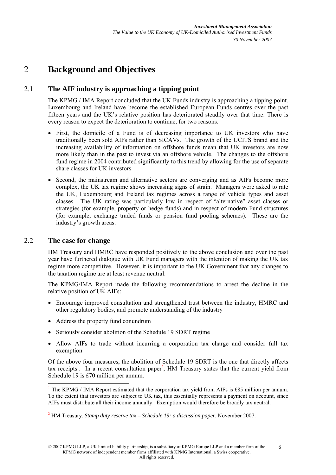# 2 **Background and Objectives**

## 2.1 **The AIF industry is approaching a tipping point**

The KPMG / IMA Report concluded that the UK Funds industry is approaching a tipping point. Luxembourg and Ireland have become the established European Funds centres over the past fifteen years and the UK's relative position has deteriorated steadily over that time. There is every reason to expect the deterioration to continue, for two reasons:

- First, the domicile of a Fund is of decreasing importance to UK investors who have traditionally been sold AIFs rather than SICAVs. The growth of the UCITS brand and the increasing availability of information on offshore funds mean that UK investors are now more likely than in the past to invest via an offshore vehicle. The changes to the offshore fund regime in 2004 contributed significantly to this trend by allowing for the use of separate share classes for UK investors.
- Second, the mainstream and alternative sectors are converging and as AIFs become more complex, the UK tax regime shows increasing signs of strain. Managers were asked to rate the UK, Luxembourg and Ireland tax regimes across a range of vehicle types and asset classes. The UK rating was particularly low in respect of "alternative" asset classes or strategies (for example, property or hedge funds) and in respect of modern Fund structures (for example, exchange traded funds or pension fund pooling schemes). These are the industry's growth areas.

### 2.2 **The case for change**

HM Treasury and HMRC have responded positively to the above conclusion and over the past year have furthered dialogue with UK Fund managers with the intention of making the UK tax regime more competitive. However, it is important to the UK Government that any changes to the taxation regime are at least revenue neutral.

The KPMG/IMA Report made the following recommendations to arrest the decline in the relative position of UK AIFs:

- Encourage improved consultation and strengthened trust between the industry, HMRC and other regulatory bodies, and promote understanding of the industry
- Address the property fund conundrum
- Seriously consider abolition of the Schedule 19 SDRT regime
- Allow AIFs to trade without incurring a corporation tax charge and consider full tax exemption

Of the above four measures, the abolition of Schedule 19 SDRT is the one that directly affects tax receipts<sup>1</sup>. In a recent consultation paper<sup>2</sup>, HM Treasury states that the current yield from Schedule 19 is £70 million per annum.

<sup>&</sup>lt;sup>1</sup> The KPMG / IMA Report estimated that the corporation tax yield from AIFs is £85 million per annum. To the extent that investors are subject to UK tax, this essentially represents a payment on account, since AIFs must distribute all their income annually. Exemption would therefore be broadly tax neutral.

<sup>2</sup> HM Treasury, *Stamp duty reserve tax – Schedule 19: a discussion paper*, November 2007.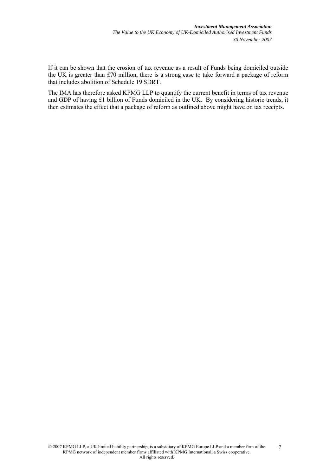If it can be shown that the erosion of tax revenue as a result of Funds being domiciled outside the UK is greater than £70 million, there is a strong case to take forward a package of reform that includes abolition of Schedule 19 SDRT.

The IMA has therefore asked KPMG LLP to quantify the current benefit in terms of tax revenue and GDP of having £1 billion of Funds domiciled in the UK. By considering historic trends, it then estimates the effect that a package of reform as outlined above might have on tax receipts.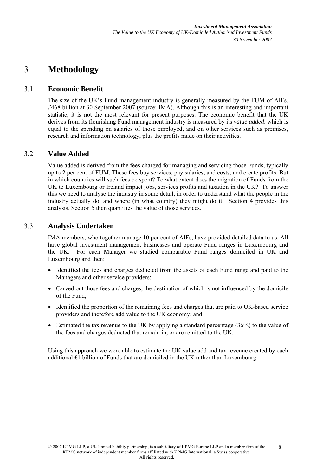# 3 **Methodology**

### 3.1 **Economic Benefit**

The size of the UK's Fund management industry is generally measured by the FUM of AIFs, £468 billion at 30 September 2007 (source: IMA). Although this is an interesting and important statistic, it is not the most relevant for present purposes. The economic benefit that the UK derives from its flourishing Fund management industry is measured by its *value added,* which is equal to the spending on salaries of those employed, and on other services such as premises, research and information technology, plus the profits made on their activities.

#### 3.2 **Value Added**

Value added is derived from the fees charged for managing and servicing those Funds, typically up to 2 per cent of FUM. These fees buy services, pay salaries, and costs, and create profits. But in which countries will such fees be spent? To what extent does the migration of Funds from the UK to Luxembourg or Ireland impact jobs, services profits and taxation in the UK? To answer this we need to analyse the industry in some detail, in order to understand what the people in the industry actually do, and where (in what country) they might do it. Section 4 provides this analysis. Section 5 then quantifies the value of those services.

#### 3.3 **Analysis Undertaken**

IMA members, who together manage 10 per cent of AIFs, have provided detailed data to us. All have global investment management businesses and operate Fund ranges in Luxembourg and the UK. For each Manager we studied comparable Fund ranges domiciled in UK and Luxembourg and then:

- Identified the fees and charges deducted from the assets of each Fund range and paid to the Managers and other service providers;
- Carved out those fees and charges, the destination of which is not influenced by the domicile of the Fund;
- Identified the proportion of the remaining fees and charges that are paid to UK-based service providers and therefore add value to the UK economy; and
- Estimated the tax revenue to the UK by applying a standard percentage (36%) to the value of the fees and charges deducted that remain in, or are remitted to the UK.

Using this approach we were able to estimate the UK value add and tax revenue created by each additional £1 billion of Funds that are domiciled in the UK rather than Luxembourg.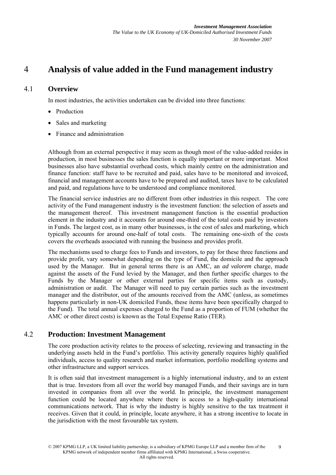## 4 **Analysis of value added in the Fund management industry**

### 4.1 **Overview**

In most industries, the activities undertaken can be divided into three functions:

- Production
- Sales and marketing
- Finance and administration

Although from an external perspective it may seem as though most of the value-added resides in production, in most businesses the sales function is equally important or more important. Most businesses also have substantial overhead costs, which mainly centre on the administration and finance function: staff have to be recruited and paid, sales have to be monitored and invoiced, financial and management accounts have to be prepared and audited, taxes have to be calculated and paid, and regulations have to be understood and compliance monitored.

The financial service industries are no different from other industries in this respect. The core activity of the Fund management industry is the investment function: the selection of assets and the management thereof. This investment management function is the essential production element in the industry and it accounts for around one-third of the total costs paid by investors in Funds. The largest cost, as in many other businesses, is the cost of sales and marketing, which typically accounts for around one-half of total costs. The remaining one-sixth of the costs covers the overheads associated with running the business and provides profit.

The mechanisms used to charge fees to Funds and investors, to pay for these three functions and provide profit, vary somewhat depending on the type of Fund, the domicile and the approach used by the Manager. But in general terms there is an AMC, an *ad valorem* charge, made against the assets of the Fund levied by the Manager, and then further specific charges to the Funds by the Manager or other external parties for specific items such as custody, administration or audit. The Manager will need to pay certain parties such as the investment manager and the distributor, out of the amounts received from the AMC (unless, as sometimes happens particularly in non-UK domiciled Funds, these items have been specifically charged to the Fund). The total annual expenses charged to the Fund as a proportion of FUM (whether the AMC or other direct costs) is known as the Total Expense Ratio (TER).

#### 4.2 **Production: Investment Management**

The core production activity relates to the process of selecting, reviewing and transacting in the underlying assets held in the Fund's portfolio. This activity generally requires highly qualified individuals, access to quality research and market information, portfolio modelling systems and other infrastructure and support services.

It is often said that investment management is a highly international industry, and to an extent that is true. Investors from all over the world buy managed Funds, and their savings are in turn invested in companies from all over the world. In principle, the investment management function could be located anywhere where there is access to a high-quality international communications network. That is why the industry is highly sensitive to the tax treatment it receives. Given that it could, in principle, locate anywhere, it has a strong incentive to locate in the jurisdiction with the most favourable tax system.

<sup>© 2007</sup> KPMG LLP, a UK limited liability partnership, is a subsidiary of KPMG Europe LLP and a member firm of the KPMG network of independent member firms affiliated with KPMG International, a Swiss cooperative. All rights reserved. 9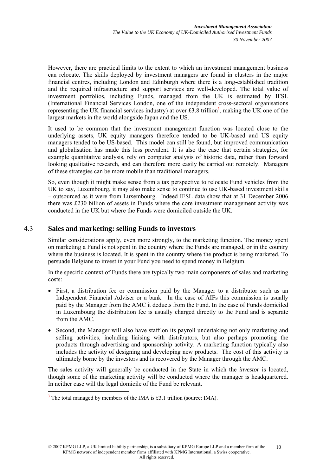However, there are practical limits to the extent to which an investment management business can relocate. The skills deployed by investment managers are found in clusters in the major financial centres, including London and Edinburgh where there is a long-established tradition and the required infrastructure and support services are well-developed. The total value of investment portfolios, including Funds, managed from the UK is estimated by IFSL (International Financial Services London, one of the independent cross-sectoral organisations representing the UK financial services industry) at over  $\text{\pounds}3.8$  trillion<sup>3</sup>, making the UK one of the largest markets in the world alongside Japan and the US.

It used to be common that the investment management function was located close to the underlying assets, UK equity managers therefore tended to be UK-based and US equity managers tended to be US-based. This model can still be found, but improved communication and globalisation has made this less prevalent. It is also the case that certain strategies, for example quantitative analysis, rely on computer analysis of historic data, rather than forward looking qualitative research, and can therefore more easily be carried out remotely. Managers of these strategies can be more mobile than traditional managers.

So, even though it might make sense from a tax perspective to relocate Fund vehicles from the UK to say, Luxembourg, it may also make sense to continue to use UK-based investment skills – outsourced as it were from Luxembourg. Indeed IFSL data show that at 31 December 2006 there was £230 billion of assets in Funds where the core investment management activity was conducted in the UK but where the Funds were domiciled outside the UK.

#### 4.3 **Sales and marketing: selling Funds to investors**

Similar considerations apply, even more strongly, to the marketing function. The money spent on marketing a Fund is not spent in the country where the Funds are managed, or in the country where the business is located. It is spent in the country where the product is being marketed. To persuade Belgians to invest in your Fund you need to spend money in Belgium.

In the specific context of Funds there are typically two main components of sales and marketing costs:

- First, a distribution fee or commission paid by the Manager to a distributor such as an Independent Financial Adviser or a bank. In the case of AIFs this commission is usually paid by the Manager from the AMC it deducts from the Fund. In the case of Funds domiciled in Luxembourg the distribution fee is usually charged directly to the Fund and is separate from the AMC.
- Second, the Manager will also have staff on its payroll undertaking not only marketing and selling activities, including liaising with distributors, but also perhaps promoting the products through advertising and sponsorship activity. A marketing function typically also includes the activity of designing and developing new products. The cost of this activity is ultimately borne by the investors and is recovered by the Manager through the AMC.

The sales activity will generally be conducted in the State in which the *investor* is located, though some of the marketing activity will be conducted where the manager is headquartered. In neither case will the legal domicile of the Fund be relevant.

 $3$  The total managed by members of the IMA is £3.1 trillion (source: IMA).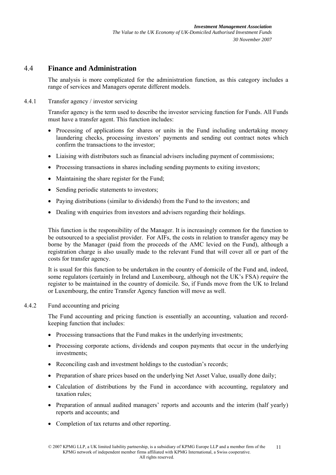#### 4.4 **Finance and Administration**

The analysis is more complicated for the administration function, as this category includes a range of services and Managers operate different models.

#### 4.4.1 Transfer agency / investor servicing

Transfer agency is the term used to describe the investor servicing function for Funds. All Funds must have a transfer agent. This function includes:

- Processing of applications for shares or units in the Fund including undertaking money laundering checks, processing investors' payments and sending out contract notes which confirm the transactions to the investor;
- Liaising with distributors such as financial advisers including payment of commissions;
- Processing transactions in shares including sending payments to exiting investors;
- Maintaining the share register for the Fund;
- Sending periodic statements to investors;
- Paying distributions (similar to dividends) from the Fund to the investors; and
- Dealing with enquiries from investors and advisers regarding their holdings.

This function is the responsibility of the Manager. It is increasingly common for the function to be outsourced to a specialist provider. For AIFs, the costs in relation to transfer agency may be borne by the Manager (paid from the proceeds of the AMC levied on the Fund), although a registration charge is also usually made to the relevant Fund that will cover all or part of the costs for transfer agency.

It is usual for this function to be undertaken in the country of domicile of the Fund and, indeed, some regulators (certainly in Ireland and Luxembourg, although not the UK's FSA) *require* the register to be maintained in the country of domicile. So, if Funds move from the UK to Ireland or Luxembourg, the entire Transfer Agency function will move as well.

#### 4.4.2 Fund accounting and pricing

The Fund accounting and pricing function is essentially an accounting, valuation and recordkeeping function that includes:

- Processing transactions that the Fund makes in the underlying investments;
- Processing corporate actions, dividends and coupon payments that occur in the underlying investments;
- Reconciling cash and investment holdings to the custodian's records;
- Preparation of share prices based on the underlying Net Asset Value, usually done daily;
- Calculation of distributions by the Fund in accordance with accounting, regulatory and taxation rules;
- Preparation of annual audited managers' reports and accounts and the interim (half yearly) reports and accounts; and
- Completion of tax returns and other reporting.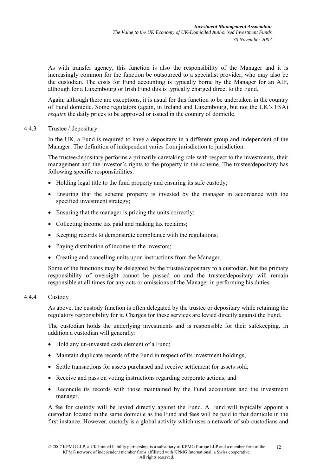As with transfer agency, this function is also the responsibility of the Manager and it is increasingly common for the function be outsourced to a specialist provider, who may also be the custodian. The costs for Fund accounting is typically borne by the Manager for an AIF, although for a Luxembourg or Irish Fund this is typically charged direct to the Fund.

Again, although there are exceptions, it is usual for this function to be undertaken in the country of Fund domicile. Some regulators (again, in Ireland and Luxembourg, but not the UK's FSA) *require* the daily prices to be approved or issued in the country of domicile.

#### 4.4.3 Trustee / depositary

In the UK, a Fund is required to have a depositary in a different group and independent of the Manager. The definition of independent varies from jurisdiction to jurisdiction.

The trustee/depositary performs a primarily caretaking role with respect to the investments, their management and the investor's rights to the property in the scheme. The trustee/depositary has following specific responsibilities:

- Holding legal title to the fund property and ensuring its safe custody;
- Ensuring that the scheme property is invested by the manager in accordance with the specified investment strategy;
- Ensuring that the manager is pricing the units correctly;
- Collecting income tax paid and making tax reclaims;
- Keeping records to demonstrate compliance with the regulations:
- Paying distribution of income to the investors;
- Creating and cancelling units upon instructions from the Manager.

Some of the functions may be delegated by the trustee/depositary to a custodian, but the primary responsibility of oversight cannot be passed on and the trustee/depositary will remain responsible at all times for any acts or omissions of the Manager in performing his duties.

#### 4.4.4 Custody

As above, the custody function is often delegated by the trustee or depositary while retaining the regulatory responsibility for it. Charges for these services are levied directly against the Fund.

The custodian holds the underlying investments and is responsible for their safekeeping. In addition a custodian will generally:

- Hold any un-invested cash element of a Fund:
- Maintain duplicate records of the Fund in respect of its investment holdings;
- Settle transactions for assets purchased and receive settlement for assets sold;
- Receive and pass on voting instructions regarding corporate actions; and
- Reconcile its records with those maintained by the Fund accountant and the investment manager.

A fee for custody will be levied directly against the Fund. A Fund will typically appoint a custodian located in the same domicile as the Fund and fees will be paid to that domicile in the first instance. However, custody is a global activity which uses a network of sub-custodians and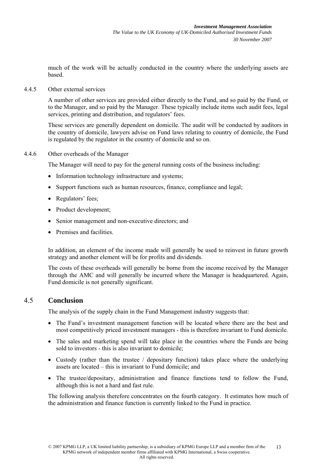much of the work will be actually conducted in the country where the underlying assets are based.

4.4.5 Other external services

A number of other services are provided either directly to the Fund, and so paid by the Fund, or to the Manager, and so paid by the Manager. These typically include items such audit fees, legal services, printing and distribution, and regulators' fees.

These services are generally dependent on domicile. The audit will be conducted by auditors in the country of domicile, lawyers advise on Fund laws relating to country of domicile, the Fund is regulated by the regulator in the country of domicile and so on.

#### 4.4.6 Other overheads of the Manager

The Manager will need to pay for the general running costs of the business including:

- Information technology infrastructure and systems;
- Support functions such as human resources, finance, compliance and legal;
- Regulators' fees;
- Product development;
- Senior management and non-executive directors; and
- Premises and facilities.

In addition, an element of the income made will generally be used to reinvest in future growth strategy and another element will be for profits and dividends.

The costs of these overheads will generally be borne from the income received by the Manager through the AMC and will generally be incurred where the Manager is headquartered. Again, Fund domicile is not generally significant.

#### 4.5 **Conclusion**

The analysis of the supply chain in the Fund Management industry suggests that:

- The Fund's investment management function will be located where there are the best and most competitively priced investment managers - this is therefore invariant to Fund domicile.
- The sales and marketing spend will take place in the countries where the Funds are being sold to investors - this is also invariant to domicile;
- Custody (rather than the trustee / depositary function) takes place where the underlying assets are located – this is invariant to Fund domicile; and
- The trustee/depositary, administration and finance functions tend to follow the Fund, although this is not a hard and fast rule.

The following analysis therefore concentrates on the fourth category. It estimates how much of the administration and finance function is currently linked to the Fund in practice.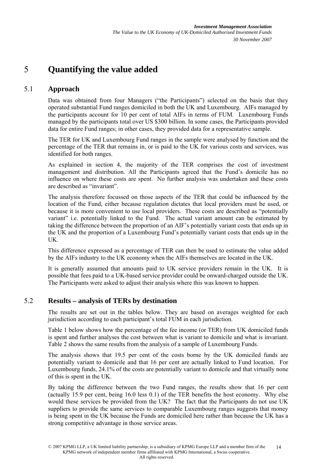# 5 **Quantifying the value added**

### 5.1 **Approach**

Data was obtained from four Managers ("the Participants") selected on the basis that they operated substantial Fund ranges domiciled in both the UK and Luxembourg. AIFs managed by the participants account for 10 per cent of total AIFs in terms of FUM. Luxembourg Funds managed by the participants total over US \$300 billion. In some cases, the Participants provided data for entire Fund ranges; in other cases, they provided data for a representative sample.

The TER for UK and Luxembourg Fund ranges in the sample were analysed by function and the percentage of the TER that remains in, or is paid to the UK for various costs and services, was identified for both ranges.

As explained in section 4, the majority of the TER comprises the cost of investment management and distribution. All the Participants agreed that the Fund's domicile has no influence on where these costs are spent. No further analysis was undertaken and these costs are described as "invariant".

The analysis therefore focussed on those aspects of the TER that could be influenced by the location of the Fund, either because regulation dictates that local providers must be used, or because it is more convenient to use local providers. These costs are described as "potentially variant" i.e. potentially linked to the Fund. The actual variant amount can be estimated by taking the difference between the proportion of an AIF's potentially variant costs that ends up in the UK and the proportion of a Luxembourg Fund's potentially variant costs that ends up in the UK.

This difference expressed as a percentage of TER can then be used to estimate the value added by the AIFs industry to the UK economy when the AIFs themselves are located in the UK.

It is generally assumed that amounts paid to UK service providers remain in the UK. It is possible that fees paid to a UK-based service provider could be onward-charged outside the UK. The Participants were asked to adjust their analysis where this was known to happen.

### 5.2 **Results – analysis of TERs by destination**

The results are set out in the tables below. They are based on averages weighted for each jurisdiction according to each participant's total FUM in each jurisdiction.

Table 1 below shows how the percentage of the fee income (or TER) from UK domiciled funds is spent and further analyses the cost between what is variant to domicile and what is invariant. Table 2 shows the same results from the analysis of a sample of Luxembourg Funds.

The analysis shows that 19.5 per cent of the costs borne by the UK domiciled funds are potentially variant to domicile and that 16 per cent are actually linked to Fund location. For Luxembourg funds, 24.1% of the costs are potentially variant to domicile and that virtually none of this is spent in the UK.

By taking the difference between the two Fund ranges, the results show that 16 per cent (actually 15.9 per cent, being 16.0 less 0.1) of the TER benefits the host economy. Why else would these services be provided from the UK? The fact that the Participants do not use UK suppliers to provide the same services to comparable Luxembourg ranges suggests that money is being spent in the UK because the Funds are domiciled here rather than because the UK has a strong competitive advantage in those service areas.

<sup>© 2007</sup> KPMG LLP, a UK limited liability partnership, is a subsidiary of KPMG Europe LLP and a member firm of the KPMG network of independent member firms affiliated with KPMG International, a Swiss cooperative. All rights reserved. 14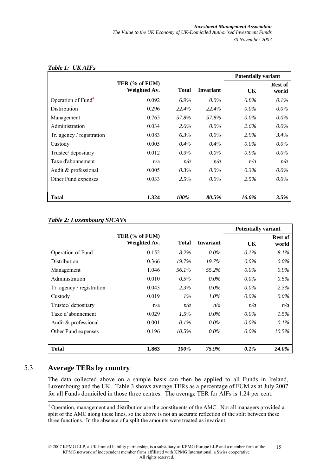|                                |                                |         |           | <b>Potentially variant</b> |                  |
|--------------------------------|--------------------------------|---------|-----------|----------------------------|------------------|
|                                | TER (% of FUM)<br>Weighted Av. | Total   | Invariant | UK                         | Rest of<br>world |
| Operation of Fund <sup>4</sup> | 0.092                          | $6.9\%$ | $0.0\%$   | 6.8%                       | $0.1\%$          |
| Distribution                   | 0.296                          | 22.4%   | 22.4%     | $0.0\%$                    | $0.0\%$          |
| Management                     | 0.765                          | 57.8%   | 57.8%     | $0.0\%$                    | $0.0\%$          |
| Administration                 | 0.034                          | 2.6%    | $0.0\%$   | $2.6\%$                    | $0.0\%$          |
| Tr. agency / registration      | 0.083                          | $6.3\%$ | $0.0\%$   | 2.9%                       | $3.4\%$          |
| Custody                        | 0.005                          | $0.4\%$ | $0.4\%$   | $0.0\%$                    | $0.0\%$          |
| Trustee/ depositary            | 0.012                          | $0.9\%$ | $0.0\%$   | $0.9\%$                    | $0.0\%$          |
| Taxe d'abonnement              | n/a                            | n/a     | n/a       | n/a                        | n/a              |
| Audit & professional           | 0.005                          | $0.3\%$ | $0.0\%$   | $0.3\%$                    | $0.0\%$          |
| Other Fund expenses            | 0.033                          | 2.5%    | $0.0\%$   | 2.5%                       | $0.0\%$          |
| Total                          | 1.324                          | 100%    | 80.5%     | 16.0%                      | 3.5%             |

#### *Table 1: UK AIFs*

#### *Table 2: Luxembourg SICAVs*

|                                |                                |              |                  | <b>Potentially variant</b> |                         |
|--------------------------------|--------------------------------|--------------|------------------|----------------------------|-------------------------|
|                                | TER (% of FUM)<br>Weighted Av. | <b>Total</b> | <b>Invariant</b> | UK                         | <b>Rest of</b><br>world |
| Operation of Fund <sup>4</sup> | 0.152                          | $8.2\%$      | $0.0\%$          | $0.1\%$                    | $8.1\%$                 |
| <b>Distribution</b>            | 0.366                          | 19.7%        | 19.7%            | $0.0\%$                    | $0.0\%$                 |
| Management                     | 1.046                          | 56.1%        | 55.2%            | $0.0\%$                    | $0.9\%$                 |
| Administration                 | 0.010                          | $0.5\%$      | $0.0\%$          | $0.0\%$                    | $0.5\%$                 |
| Tr. agency / registration      | 0.043                          | 2.3%         | $0.0\%$          | $0.0\%$                    | 2.3%                    |
| Custody                        | 0.019                          | $1\%$        | $1.0\%$          | $0.0\%$                    | $0.0\%$                 |
| Trustee/ depositary            | n/a                            | n/a          | n/a              | n/a                        | n/a                     |
| Taxe d'abonnement              | 0.029                          | $1.5\%$      | $0.0\%$          | $0.0\%$                    | 1.5%                    |
| Audit & professional           | 0.001                          | $0.1\%$      | $0.0\%$          | $0.0\%$                    | $0.1\%$                 |
| Other Fund expenses            | 0.196                          | $10.5\%$     | $0.0\%$          | $0.0\%$                    | 10.5%                   |
| Total                          | 1.863                          | 100%         | 75.9%            | $0.1\%$                    | <b>24.0%</b>            |

## 5.3 **Average TERs by country**

 $\overline{a}$ 

The data collected above on a sample basis can then be applied to all Funds in Ireland, Luxembourg and the UK. Table 3 shows average TERs as a percentage of FUM as at July 2007 for all Funds domiciled in those three centres. The average TER for AIFs is 1.24 per cent.

<sup>&</sup>lt;sup>4</sup> Operation, management and distribution are the constituents of the AMC. Not all managers provided a split of the AMC along these lines, so the above is not an accurate reflection of the split between these three functions. In the absence of a split the amounts were treated as invariant.

<sup>© 2007</sup> KPMG LLP, a UK limited liability partnership, is a subsidiary of KPMG Europe LLP and a member firm of the KPMG network of independent member firms affiliated with KPMG International, a Swiss cooperative. All rights reserved. 15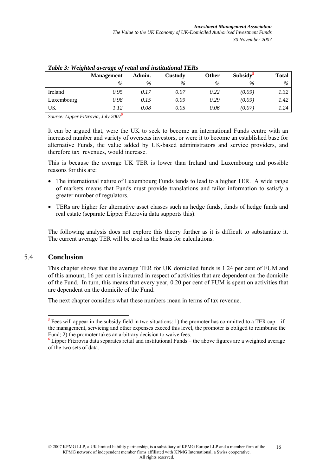| Table 5. Weighted average of retail and institutional TERS |                   |        |         |              |                      |       |
|------------------------------------------------------------|-------------------|--------|---------|--------------|----------------------|-------|
|                                                            | <b>Management</b> | Admin. | Custody | <b>Other</b> | Subsidy <sup>5</sup> | Total |
|                                                            | $\%$              | $\%$   | $\%$    | $\%$         | $\%$                 | $\%$  |
| Ireland                                                    | 0.95              | 0.17   | 0.07    | 0.22         | (0.09)               | 1.32  |
| Luxembourg                                                 | 0.98              | 0.15   | 0.09    | 0.29         | (0.09)               | 1.42  |
| UK                                                         | 1.12              | 0.08   | 0.05    | 0.06         | (0.07)               | 1.24  |

|  |  | Table 3: Weighted average of retail and institutional TERs |  |
|--|--|------------------------------------------------------------|--|
|  |  |                                                            |  |

*Source: Lipper Fitzrovia, July 20076* 

It can be argued that, were the UK to seek to become an international Funds centre with an increased number and variety of overseas investors, or were it to become an established base for alternative Funds, the value added by UK-based administrators and service providers, and therefore tax revenues, would increase.

This is because the average UK TER is lower than Ireland and Luxembourg and possible reasons for this are:

- The international nature of Luxembourg Funds tends to lead to a higher TER. A wide range of markets means that Funds must provide translations and tailor information to satisfy a greater number of regulators.
- TERs are higher for alternative asset classes such as hedge funds, funds of hedge funds and real estate (separate Lipper Fitzrovia data supports this).

The following analysis does not explore this theory further as it is difficult to substantiate it. The current average TER will be used as the basis for calculations.

#### 5.4 **Conclusion**

This chapter shows that the average TER for UK domiciled funds is 1.24 per cent of FUM and of this amount, 16 per cent is incurred in respect of activities that are dependent on the domicile of the Fund. In turn, this means that every year, 0.20 per cent of FUM is spent on activities that are dependent on the domicile of the Fund.

The next chapter considers what these numbers mean in terms of tax revenue.

<sup>&</sup>lt;sup>5</sup> Fees will appear in the subsidy field in two situations: 1) the promoter has committed to a TER cap – if the management, servicing and other expenses exceed this level, the promoter is obliged to reimburse the Fund; 2) the promoter takes an arbitrary decision to waive fees.

<sup>&</sup>lt;sup>6</sup> Lipper Fitzrovia data separates retail and institutional Funds – the above figures are a weighted average of the two sets of data.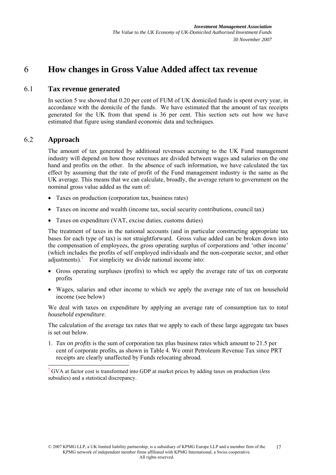## 6 **How changes in Gross Value Added affect tax revenue**

#### 6.1 **Tax revenue generated**

In section 5 we showed that 0.20 per cent of FUM of UK domiciled funds is spent every year, in accordance with the domicile of the funds. We have estimated that the amount of tax receipts generated for the UK from that spend is 36 per cent. This section sets out how we have estimated that figure using standard economic data and techniques.

## 6.2 **Approach**

The amount of tax generated by additional revenues accruing to the UK Fund management industry will depend on how those revenues are divided between wages and salaries on the one hand and profits on the other. In the absence of such information, we have calculated the tax effect by assuming that the rate of profit of the Fund management industry is the same as the UK average. This means that we can calculate, broadly, the average return to government on the nominal gross value added as the sum of:

- Taxes on production (corporation tax, business rates)
- Taxes on income and wealth (income tax, social security contributions, council tax)
- Taxes on expenditure (VAT, excise duties, customs duties)

The treatment of taxes in the national accounts (and in particular constructing appropriate tax bases for each type of tax) is not straightforward. Gross value added can be broken down into the compensation of employees, the gross operating surplus of corporations and 'other income' (which includes the profits of self employed individuals and the non-corporate sector, and other adjustments).<sup>7</sup> For simplicity we divide national income into:

- Gross operating surpluses (profits) to which we apply the average rate of tax on corporate profits
- Wages, salaries and other income to which we apply the average rate of tax on household income (see below)

We deal with taxes on expenditure by applying an average rate of consumption tax to *total household expenditure*.

The calculation of the average tax rates that we apply to each of these large aggregate tax bases is set out below.

1. *Tax on profits* is the sum of corporation tax plus business rates which amount to 21.5 per cent of corporate profits, as shown in Table 4. We omit Petroleum Revenue Tax since PRT receipts are clearly unaffected by Funds relocating abroad.

<sup>7</sup> GVA at factor cost is transformed into GDP at market prices by adding taxes on production (*less* subsidies) and a statistical discrepancy.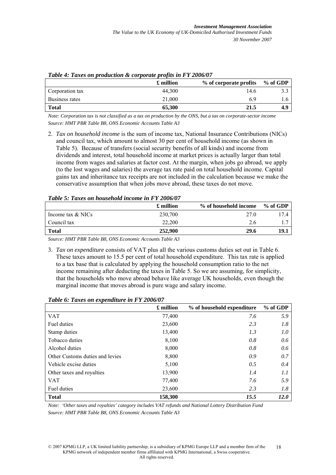|                 | £ million | % of corporate profits | % of GDP |
|-----------------|-----------|------------------------|----------|
| Corporation tax | 44.300    | 14.6                   |          |
| Business rates  | 21,000    | 69                     |          |
| <b>Total</b>    | 65,300    | 21.5                   | 4.9      |

| Table 4: Taxes on production & corporate profits in FY 2006/07 |  |  |  |
|----------------------------------------------------------------|--|--|--|
|----------------------------------------------------------------|--|--|--|

*Note: Corporation tax is not classified as a tax on production by the ONS, but a tax on corporate-sector income Source: HMT PBR Table B8, ONS Economic Accounts Table A3* 

2. *Tax on household income* is the sum of income tax, National Insurance Contributions (NICs) and council tax, which amount to almost 30 per cent of household income (as shown in Table 5). Because of transfers (social security benefits of all kinds) and income from dividends and interest, total household income at market prices is actually larger than total income from wages and salaries at factor cost. At the margin, when jobs go abroad, we apply (to the lost wages and salaries) the average tax rate paid on total household income. Capital gains tax and inheritance tax receipts are not included in the calculation because we make the conservative assumption that when jobs move abroad, these taxes do not move.

|  |  | Table 5: Taxes on household income in FY 2006/07 |
|--|--|--------------------------------------------------|
|  |  |                                                  |

|                     | £ million | % of household income | $%$ of GDP |
|---------------------|-----------|-----------------------|------------|
| Income tax $&$ NICs | 230,700   | 27.0                  | 174        |
| Council tax         | 22,200    | 2.6                   |            |
| <b>Total</b>        | 252,900   | 29.6                  | 19.1       |

*Source: HMT PBR Table B8, ONS Economic Accounts Table A3* 

3. *Tax on expenditure* consists of VAT plus all the various customs duties set out in Table 6. These taxes amount to 15.5 per cent of total household expenditure. This tax rate is applied to a tax base that is calculated by applying the household consumption ratio to the net income remaining after deducting the taxes in Table 5. So we are assuming, for simplicity, that the households who move abroad behave like average UK households, even though the marginal income that moves abroad is pure wage and salary income.

|                                 | £ million | % of household expenditure | % of GDP    |
|---------------------------------|-----------|----------------------------|-------------|
| <b>VAT</b>                      | 77,400    | 7.6                        | 5.9         |
| Fuel duties                     | 23,600    | 2.3                        | 1.8         |
| Stamp duties                    | 13,400    | 1.3                        | 1.0         |
| Tobacco duties                  | 8,100     | 0.8                        | 0.6         |
| Alcohol duties                  | 8,000     | 0.8                        | 0.6         |
| Other Customs duties and levies | 8,800     | 0.9                        | 0.7         |
| Vehicle excise duties           | 5,100     | 0.5                        | 0.4         |
| Other taxes and royalties       | 13,900    | 1.4                        | 1.1         |
| <b>VAT</b>                      | 77,400    | 7.6                        | 5.9         |
| Fuel duties                     | 23,600    | 2.3                        | 1.8         |
| <b>Total</b>                    | 158,300   | 15.5                       | <b>12.0</b> |

*Table 6: Taxes on expenditure in FY 2006/07* 

*Note: 'Other taxes and royalties' category includes VAT refunds and National Lottery Distribution Fund Source: HMT PBR Table B8, ONS Economic Accounts Table A3* 

<sup>© 2007</sup> KPMG LLP, a UK limited liability partnership, is a subsidiary of KPMG Europe LLP and a member firm of the KPMG network of independent member firms affiliated with KPMG International, a Swiss cooperative. All rights reserved. 18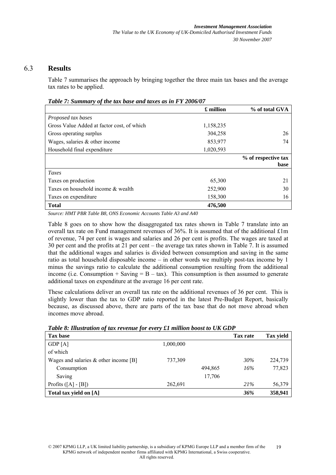#### 6.3 **Results**

Table 7 summarises the approach by bringing together the three main tax bases and the average tax rates to be applied.

|                                            | £ million | % of total GVA      |
|--------------------------------------------|-----------|---------------------|
| Proposed tax bases                         |           |                     |
| Gross Value Added at factor cost, of which | 1,158,235 |                     |
| Gross operating surplus                    | 304,258   | 26                  |
| Wages, salaries $\&$ other income          | 853,977   | 74                  |
| Household final expenditure                | 1,020,593 |                     |
|                                            |           | % of respective tax |
|                                            |           | base                |
| <b>Taxes</b>                               |           |                     |
| Taxes on production                        | 65,300    | 21                  |
| Taxes on household income & wealth         | 252,900   | 30                  |
| Taxes on expenditure                       | 158,300   | 16                  |
| <b>Total</b>                               | 476,500   |                     |

*Table 7: Summary of the tax base and taxes as in FY 2006/07* 

*Source: HMT PBR Table B8, ONS Economic Accounts Table A3 and A40* 

Table 8 goes on to show how the disaggregated tax rates shown in Table 7 translate into an overall tax rate on Fund management revenues of 36%. It is assumed that of the additional £1m of revenue, 74 per cent is wages and salaries and 26 per cent is profits. The wages are taxed at 30 per cent and the profits at 21 per cent – the average tax rates shown in Table 7. It is assumed that the additional wages and salaries is divided between consumption and saving in the same ratio as total household disposable income – in other words we multiply post-tax income by 1 minus the savings ratio to calculate the additional consumption resulting from the additional income (i.e. Consumption  $+$  Saving  $=$  B  $-$  tax). This consumption is then assumed to generate additional taxes on expenditure at the average 16 per cent rate.

These calculations deliver an overall tax rate on the additional revenues of 36 per cent. This is slightly lower than the tax to GDP ratio reported in the latest Pre-Budget Report, basically because, as discussed above, there are parts of the tax base that do not move abroad when incomes move abroad.

| Twore of Innon-Mnon-of-Mm-forenine for every will himmon obodie to CII GDI |           |         |                 |                  |
|----------------------------------------------------------------------------|-----------|---------|-----------------|------------------|
| Tax base                                                                   |           |         | <b>Tax rate</b> | <b>Tax yield</b> |
| GDP[A]                                                                     | 1,000,000 |         |                 |                  |
| of which                                                                   |           |         |                 |                  |
| Wages and salaries $\&$ other income [B]                                   | 737,309   |         | 30%             | 224,739          |
| Consumption                                                                |           | 494,865 | 16%             | 77,823           |
| Saving                                                                     |           | 17,706  |                 |                  |
| Profits $([A] - [B])$                                                      | 262,691   |         | 21%             | 56,379           |
| Total tax yield on [A]                                                     |           |         | 36%             | 358,941          |

*Table 8: Illustration of tax revenue for every £1 million boost to UK GDP*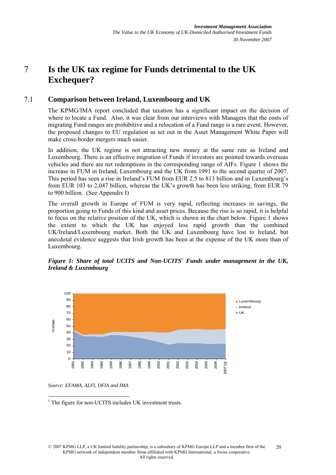# 7 **Is the UK tax regime for Funds detrimental to the UK Exchequer?**

#### 7.1 **Comparison between Ireland, Luxembourg and UK**

The KPMG/IMA report concluded that taxation has a significant impact on the decision of where to locate a Fund. Also, it was clear from our interviews with Managers that the costs of migrating Fund ranges are prohibitive and a relocation of a Fund range is a rare event. However, the proposed changes to EU regulation as set out in the Asset Management White Paper will make cross-border mergers much easier.

In addition, the UK regime is not attracting new money at the same rate as Ireland and Luxembourg. There is an effective migration of Funds if investors are pointed towards overseas vehicles and there are net redemptions in the corresponding range of AIFs. Figure 1 shows the increase in FUM in Ireland, Luxembourg and the UK from 1991 to the second quarter of 2007. This period has seen a rise in Ireland's FUM from EUR 2.5 to 813 billion and in Luxembourg's from EUR 103 to 2,047 billion, whereas the UK's growth has been less striking, from EUR 79 to 900 billion. (See Appendix I)

The overall growth in Europe of FUM is very rapid, reflecting increases in savings, the proportion going to Funds of this kind and asset prices. Because the rise is so rapid, it is helpful to focus on the relative position of the UK, which is shown in the chart below. Figure 1 shows the extent to which the UK has enjoyed less rapid growth than the combined UK/Ireland/Luxembourg market. Both the UK and Luxembourg have lost to Ireland, but anecdotal evidence suggests that Irish growth has been at the expense of the UK more than of Luxembourg.





*Source: EFAMA, ALFI, DFIA and IMA* 

<sup>8</sup> The figure for non-UCITS includes UK investment trusts.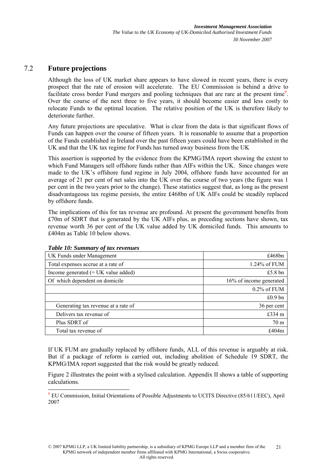#### 7.2 **Future projections**

Although the loss of UK market share appears to have slowed in recent years, there is every prospect that the rate of erosion will accelerate. The EU Commission is behind a drive to facilitate cross border Fund mergers and pooling techniques that are rare at the present time<sup>9</sup>. Over the course of the next three to five years, it should become easier and less costly to relocate Funds to the optimal location. The relative position of the UK is therefore likely to deteriorate further.

Any future projections are speculative. What is clear from the data is that significant flows of Funds can happen over the course of fifteen years. It is reasonable to assume that a proportion of the Funds established in Ireland over the past fifteen years could have been established in the UK and that the UK tax regime for Funds has turned away business from the UK

This assertion is supported by the evidence from the KPMG/IMA report showing the extent to which Fund Managers sell offshore funds rather than AIFs within the UK. Since changes were made to the UK's offshore fund regime in July 2004, offshore funds have accounted for an average of 21 per cent of net sales into the UK over the course of two years (the figure was 1 per cent in the two years prior to the change). These statistics suggest that, as long as the present disadvantageous tax regime persists, the entire £468bn of UK AIFs could be steadily replaced by offshore funds.

The implications of this for tax revenue are profound. At present the government benefits from £70m of SDRT that is generated by the UK AIFs plus, as preceding sections have shown, tax revenue worth 36 per cent of the UK value added by UK domiciled funds. This amounts to £404m as Table 10 below shows.

| UK Funds under Management             | £468bn                  |
|---------------------------------------|-------------------------|
| Total expenses accrue at a rate of    | 1.24% of FUM            |
| Income generated $(= UK value added)$ | £5.8 $bn$               |
| Of which dependent on domicile        | 16% of income generated |
|                                       | $0.2\%$ of FUM          |
|                                       | $£0.9$ bn               |
| Generating tax revenue at a rate of   | 36 per cent             |
| Delivers tax revenue of               | £334 m                  |
| Plus SDRT of                          | 70 <sub>m</sub>         |
| Total tax revenue of                  | f404m                   |

#### *Table 10: Summary of tax revenues*

If UK FUM are gradually replaced by offshore funds, ALL of this revenue is arguably at risk. But if a package of reform is carried out, including abolition of Schedule 19 SDRT, the KPMG/IMA report suggested that the risk would be greatly reduced.

Figure 2 illustrates the point with a stylised calculation. Appendix II shows a table of supporting calculations.

<sup>9</sup> EU Commission, Initial Orientations of Possible Adjustments to UCITS Directive (85/611/EEC), April 2007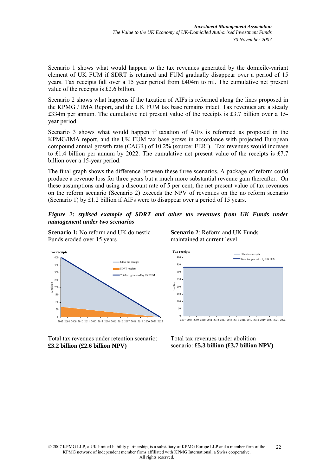Scenario 1 shows what would happen to the tax revenues generated by the domicile-variant element of UK FUM if SDRT is retained and FUM gradually disappear over a period of 15 years. Tax receipts fall over a 15 year period from £404m to nil. The cumulative net present value of the receipts is £2.6 billion.

Scenario 2 shows what happens if the taxation of AIFs is reformed along the lines proposed in the KPMG / IMA Report, and the UK FUM tax base remains intact. Tax revenues are a steady £334m per annum. The cumulative net present value of the receipts is £3.7 billion over a 15 year period.

Scenario 3 shows what would happen if taxation of AIFs is reformed as proposed in the KPMG/IMA report, and the UK FUM tax base grows in accordance with projected European compound annual growth rate (CAGR) of 10.2% (source: FERI). Tax revenues would increase to £1.4 billion per annum by 2022. The cumulative net present value of the receipts is £7.7 billion over a 15-year period.

The final graph shows the difference between these three scenarios. A package of reform could produce a revenue loss for three years but a much more substantial revenue gain thereafter. On these assumptions and using a discount rate of 5 per cent, the net present value of tax revenues on the reform scenario (Scenario 2) exceeds the NPV of revenues on the no reform scenario (Scenario 1) by £1.2 billion if AIFs were to disappear over a period of 15 years.

*Figure 2: stylised example of SDRT and other tax revenues from UK Funds under management under two scenarios* 

**Scenario 1:** No reform and UK domestic Funds eroded over 15 years



Total tax revenues under retention scenario: **£3.2 billion (£2.6 billion NPV)**





Total tax revenues under abolition scenario: **£5.3 billion (£3.7 billion NPV)**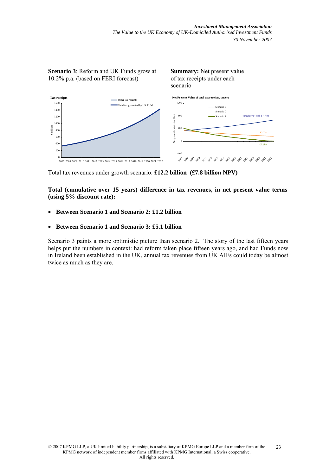*Investment Management Association The Value to the UK Economy of UK-Domiciled Authorised Investment Funds 30 November 2007* 



Total tax revenues under growth scenario: **£12.2 billion (£7.8 billion NPV)**

**Total (cumulative over 15 years) difference in tax revenues, in net present value terms (using 5% discount rate):** 

- **Between Scenario 1 and Scenario 2: £1.2 billion**
- **Between Scenario 1 and Scenario 3: £5.1 billion**

Scenario 3 paints a more optimistic picture than scenario 2. The story of the last fifteen years helps put the numbers in context: had reform taken place fifteen years ago, and had Funds now in Ireland been established in the UK, annual tax revenues from UK AIFs could today be almost twice as much as they are.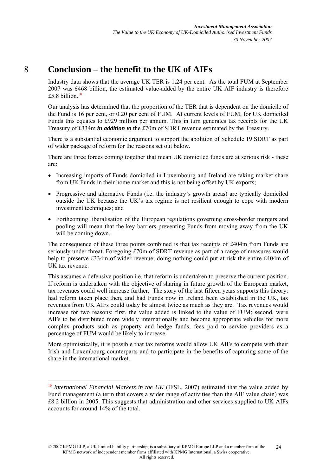## 8 **Conclusion – the benefit to the UK of AIFs**

Industry data shows that the average UK TER is 1.24 per cent. As the total FUM at September 2007 was £468 billion, the estimated value-added by the entire UK AIF industry is therefore £5.8 billion. $10$ 

Our analysis has determined that the proportion of the TER that is dependent on the domicile of the Fund is 16 per cent, or 0.20 per cent of FUM. At current levels of FUM, for UK domiciled Funds this equates to £929 million per annum. This in turn generates tax receipts for the UK Treasury of £334m *in addition to* the £70m of SDRT revenue estimated by the Treasury.

There is a substantial economic argument to support the abolition of Schedule 19 SDRT as part of wider package of reform for the reasons set out below.

There are three forces coming together that mean UK domiciled funds are at serious risk - these are:

- Increasing imports of Funds domiciled in Luxembourg and Ireland are taking market share from UK Funds in their home market and this is not being offset by UK exports;
- Progressive and alternative Funds (i.e. the industry's growth areas) are typically domiciled outside the UK because the UK's tax regime is not resilient enough to cope with modern investment techniques; and
- Forthcoming liberalisation of the European regulations governing cross-border mergers and pooling will mean that the key barriers preventing Funds from moving away from the UK will be coming down.

The consequence of these three points combined is that tax receipts of £404m from Funds are seriously under threat. Foregoing £70m of SDRT revenue as part of a range of measures would help to preserve £334m of wider revenue; doing nothing could put at risk the entire £404m of UK tax revenue.

This assumes a defensive position i.e. that reform is undertaken to preserve the current position. If reform is undertaken with the objective of sharing in future growth of the European market, tax revenues could well increase further. The story of the last fifteen years supports this theory: had reform taken place then, and had Funds now in Ireland been established in the UK, tax revenues from UK AIFs could today be almost twice as much as they are. Tax revenues would increase for two reasons: first, the value added is linked to the value of FUM; second, were AIFs to be distributed more widely internationally and become appropriate vehicles for more complex products such as property and hedge funds, fees paid to service providers as a percentage of FUM would be likely to increase.

More optimistically, it is possible that tax reforms would allow UK AIFs to compete with their Irish and Luxembourg counterparts and to participate in the benefits of capturing some of the share in the international market.

<sup>&</sup>lt;sup>10</sup> International Financial Markets in the UK (IFSL, 2007) estimated that the value added by Fund management (a term that covers a wider range of activities than the AIF value chain) was £8.2 billion in 2005. This suggests that administration and other services supplied to UK AIFs accounts for around 14% of the total.

<sup>© 2007</sup> KPMG LLP, a UK limited liability partnership, is a subsidiary of KPMG Europe LLP and a member firm of the KPMG network of independent member firms affiliated with KPMG International, a Swiss cooperative. All rights reserved.  $24$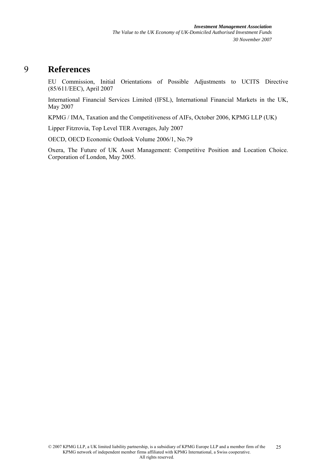## 9 **References**

EU Commission, Initial Orientations of Possible Adjustments to UCITS Directive (85/611/EEC), April 2007

International Financial Services Limited (IFSL), International Financial Markets in the UK, May 2007

KPMG / IMA, Taxation and the Competitiveness of AIFs, October 2006, KPMG LLP (UK)

Lipper Fitzrovia, Top Level TER Averages, July 2007

OECD, OECD Economic Outlook Volume 2006/1, No.79

Oxera, The Future of UK Asset Management: Competitive Position and Location Choice. Corporation of London, May 2005.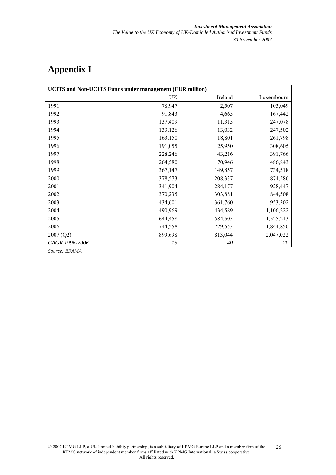# **Appendix I**

| <b>UCITS</b> and Non-UCITS Funds under management (EUR million) |         |         |            |  |  |  |  |  |  |
|-----------------------------------------------------------------|---------|---------|------------|--|--|--|--|--|--|
|                                                                 | UK      | Ireland | Luxembourg |  |  |  |  |  |  |
| 1991                                                            | 78,947  | 2,507   | 103,049    |  |  |  |  |  |  |
| 1992                                                            | 91,843  | 4,665   | 167,442    |  |  |  |  |  |  |
| 1993                                                            | 137,409 | 11,315  | 247,078    |  |  |  |  |  |  |
| 1994                                                            | 133,126 | 13,032  | 247,502    |  |  |  |  |  |  |
| 1995                                                            | 163,150 | 18,801  | 261,798    |  |  |  |  |  |  |
| 1996                                                            | 191,055 | 25,950  | 308,605    |  |  |  |  |  |  |
| 1997                                                            | 228,246 | 43,216  | 391,766    |  |  |  |  |  |  |
| 1998                                                            | 264,580 | 70,946  | 486,843    |  |  |  |  |  |  |
| 1999                                                            | 367,147 | 149,857 | 734,518    |  |  |  |  |  |  |
| 2000                                                            | 378,573 | 208,337 | 874,586    |  |  |  |  |  |  |
| 2001                                                            | 341,904 | 284,177 | 928,447    |  |  |  |  |  |  |
| 2002                                                            | 370,235 | 303,881 | 844,508    |  |  |  |  |  |  |
| 2003                                                            | 434,601 | 361,760 | 953,302    |  |  |  |  |  |  |
| 2004                                                            | 490,969 | 434,589 | 1,106,222  |  |  |  |  |  |  |
| 2005                                                            | 644,458 | 584,505 | 1,525,213  |  |  |  |  |  |  |
| 2006                                                            | 744,558 | 729,553 | 1,844,850  |  |  |  |  |  |  |
| 2007(Q2)                                                        | 899,698 | 813,044 | 2,047,022  |  |  |  |  |  |  |
| CAGR 1996-2006                                                  | 15      | 40      | 20         |  |  |  |  |  |  |

*Source: EFAMA*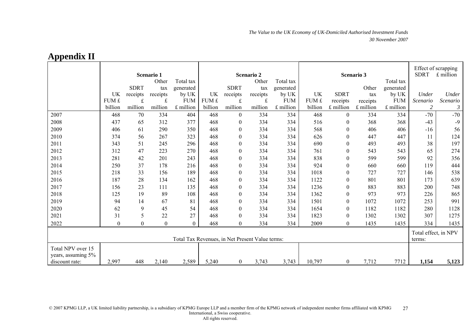|                                                           | Scenario 1 |             |              |                  | <b>Scenario 2</b> |                |           | Scenario 3 |                                |                  |           | Effect of scrapping<br><b>SDRT</b><br>£ million |          |                |
|-----------------------------------------------------------|------------|-------------|--------------|------------------|-------------------|----------------|-----------|------------|--------------------------------|------------------|-----------|-------------------------------------------------|----------|----------------|
|                                                           |            |             | Other        | Total tax        |                   |                | Other     | Total tax  |                                |                  |           | Total tax                                       |          |                |
|                                                           |            | <b>SDRT</b> | tax          | generated        |                   | <b>SDRT</b>    | tax       | generated  |                                |                  | Other     | generated                                       |          |                |
|                                                           | UK         | receipts    | receipts     | by UK            | UK                | receipts       | receipts  | by UK      | UK                             | <b>SDRT</b>      | tax       | by UK                                           | Under    | Under          |
|                                                           | FUM £      | $\mathbf f$ | $\pounds$    | <b>FUM</b>       | FUM £             | f              | $\pounds$ | <b>FUM</b> | FUM £                          | receipts         | receipts  | <b>FUM</b>                                      | Scenario | Scenario       |
|                                                           | billion    | million     | million      | £ million        | billion           | million        | million   | £ million  | billion                        | £ million        | £ million | £ million                                       | 2        | $\mathfrak{Z}$ |
| 2007                                                      | 468        | 70          | 334          | 404              | 468               | $\overline{0}$ | 334       | 334        | 468                            | $\overline{0}$   | 334       | 334                                             | $-70$    | $-70$          |
| 2008                                                      | 437        | 65          | 312          | 377              | 468               | $\mathbf{0}$   | 334       | 334        | 516                            | $\overline{0}$   | 368       | 368                                             | $-43$    | $-9$           |
| 2009                                                      | 406        | 61          | 290          | 350              | 468               | $\mathbf{0}$   | 334       | 334        | 568                            | $\mathbf{0}$     | 406       | 406                                             | $-16$    | 56             |
| 2010                                                      | 374        | 56          | 267          | 323              | 468               | $\mathbf{0}$   | 334       | 334        | 626                            | $\boldsymbol{0}$ | 447       | 447                                             | 11       | 124            |
| 2011                                                      | 343        | 51          | 245          | 296              | 468               | $\mathbf{0}$   | 334       | 334        | 690                            | $\boldsymbol{0}$ | 493       | 493                                             | 38       | 197            |
| 2012                                                      | 312        | 47          | 223          | 270              | 468               | $\theta$       | 334       | 334        | 761                            | $\boldsymbol{0}$ | 543       | 543                                             | 65       | 274            |
| 2013                                                      | 281        | 42          | 201          | 243              | 468               | $\mathbf{0}$   | 334       | 334        | 838                            | $\boldsymbol{0}$ | 599       | 599                                             | 92       | 356            |
| 2014                                                      | 250        | 37          | 178          | 216              | 468               | $\mathbf{0}$   | 334       | 334        | 924                            | $\boldsymbol{0}$ | 660       | 660                                             | 119      | 444            |
| 2015                                                      | 218        | 33          | 156          | 189              | 468               | $\theta$       | 334       | 334        | 1018                           | $\mathbf{0}$     | 727       | 727                                             | 146      | 538            |
| 2016                                                      | 187        | 28          | 134          | 162              | 468               | $\mathbf{0}$   | 334       | 334        | 1122                           | $\boldsymbol{0}$ | 801       | 801                                             | 173      | 639            |
| 2017                                                      | 156        | 23          | 111          | 135              | 468               | $\mathbf{0}$   | 334       | 334        | 1236                           | $\overline{0}$   | 883       | 883                                             | 200      | 748            |
| 2018                                                      | 125        | 19          | 89           | 108              | 468               | $\theta$       | 334       | 334        | 1362                           | $\mathbf{0}$     | 973       | 973                                             | 226      | 865            |
| 2019                                                      | 94         | 14          | 67           | 81               | 468               | $\mathbf{0}$   | 334       | 334        | 1501                           | $\boldsymbol{0}$ | 1072      | 1072                                            | 253      | 991            |
| 2020                                                      | 62         | 9           | 45           | 54               | 468               | $\mathbf{0}$   | 334       | 334        | 1654                           | $\boldsymbol{0}$ | 1182      | 1182                                            | 280      | 1128           |
| 2021                                                      | 31         | 5           | 22           | 27               | 468               | $\theta$       | 334       | 334        | 1823                           | $\boldsymbol{0}$ | 1302      | 1302                                            | 307      | 1275           |
| 2022                                                      | $\theta$   | $\theta$    | $\mathbf{0}$ | $\boldsymbol{0}$ | 468               | $\theta$       | 334       | 334        | 2009                           | $\boldsymbol{0}$ | 1435      | 1435                                            | 334      | 1435           |
| Total Tax Revenues, in Net Present Value terms:           |            |             |              |                  |                   |                |           |            | Total effect, in NPV<br>terms: |                  |           |                                                 |          |                |
| Total NPV over 15<br>years, assuming 5%<br>discount rate: | 2,997      | 448         | 2,140        | 2,589            | 5,240             | $\overline{0}$ | 3,743     | 3,743      | 10,797                         | $\mathbf{0}$     | 7,712     | 7712                                            | 1,154    | 5,123          |

## **Appendix II**

© 2007 KPMG LLP, a UK limited liability partnership, is a subsidiary of KPMG Europe LLP and a member firm of the KPMG network of independent member firms affiliated with KPMG International, a Swiss cooperative. All rights reserved. 27